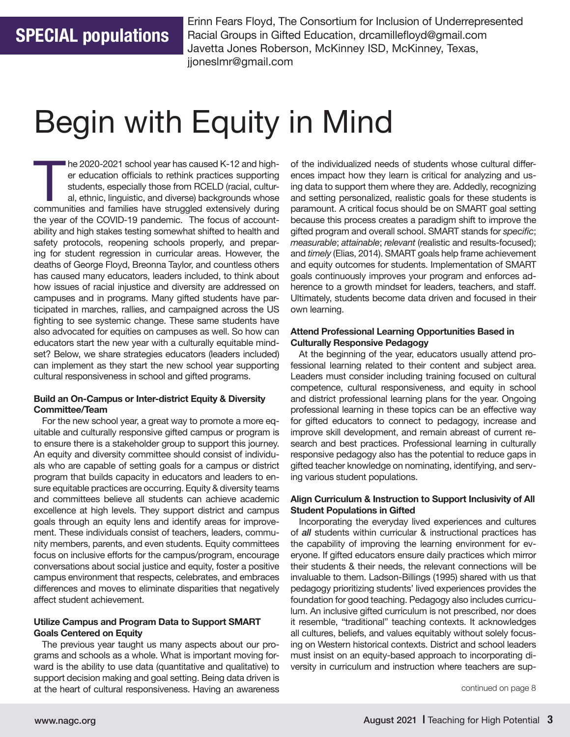Erinn Fears Floyd, The Consortium for Inclusion of Underrepresented Racial Groups in Gifted Education, drcamillefloyd@gmail.com Javetta Jones Roberson, McKinney ISD, McKinney, Texas, jjoneslmr@gmail.com

# Begin with Equity in Mind

The 2020-2021 school year has caused K-12 and higher education officials to rethink practices supporting students, especially those from RCELD (racial, cultural, ethnic, linguistic, and diverse) backgrounds whose communiti er education officials to rethink practices supporting students, especially those from RCELD (racial, cultural, ethnic, linguistic, and diverse) backgrounds whose the year of the COVID-19 pandemic. The focus of accountability and high stakes testing somewhat shifted to health and safety protocols, reopening schools properly, and preparing for student regression in curricular areas. However, the deaths of George Floyd, Breonna Taylor, and countless others has caused many educators, leaders included, to think about how issues of racial injustice and diversity are addressed on campuses and in programs. Many gifted students have participated in marches, rallies, and campaigned across the US fighting to see systemic change. These same students have also advocated for equities on campuses as well. So how can educators start the new year with a culturally equitable mindset? Below, we share strategies educators (leaders included) can implement as they start the new school year supporting cultural responsiveness in school and gifted programs.

### **Build an On-Campus or Inter-district Equity & Diversity Committee/Team**

For the new school year, a great way to promote a more equitable and culturally responsive gifted campus or program is to ensure there is a stakeholder group to support this journey. An equity and diversity committee should consist of individuals who are capable of setting goals for a campus or district program that builds capacity in educators and leaders to ensure equitable practices are occurring. Equity & diversity teams and committees believe all students can achieve academic excellence at high levels. They support district and campus goals through an equity lens and identify areas for improvement. These individuals consist of teachers, leaders, community members, parents, and even students. Equity committees focus on inclusive efforts for the campus/program, encourage conversations about social justice and equity, foster a positive campus environment that respects, celebrates, and embraces differences and moves to eliminate disparities that negatively affect student achievement.

# **Utilize Campus and Program Data to Support SMART Goals Centered on Equity**

The previous year taught us many aspects about our programs and schools as a whole. What is important moving forward is the ability to use data (quantitative and qualitative) to support decision making and goal setting. Being data driven is at the heart of cultural responsiveness. Having an awareness

of the individualized needs of students whose cultural differences impact how they learn is critical for analyzing and using data to support them where they are. Addedly, recognizing and setting personalized, realistic goals for these students is paramount. A critical focus should be on SMART goal setting because this process creates a paradigm shift to improve the gifted program and overall school. SMART stands for *specific*; *measurable*; *attainable*; *relevant* (realistic and results-focused); and *timely* (Elias, 2014). SMART goals help frame achievement and equity outcomes for students. Implementation of SMART goals continuously improves your program and enforces adherence to a growth mindset for leaders, teachers, and staff. Ultimately, students become data driven and focused in their own learning.

## **Attend Professional Learning Opportunities Based in Culturally Responsive Pedagogy**

At the beginning of the year, educators usually attend professional learning related to their content and subject area. Leaders must consider including training focused on cultural competence, cultural responsiveness, and equity in school and district professional learning plans for the year. Ongoing professional learning in these topics can be an effective way for gifted educators to connect to pedagogy, increase and improve skill development, and remain abreast of current research and best practices. Professional learning in culturally responsive pedagogy also has the potential to reduce gaps in gifted teacher knowledge on nominating, identifying, and serving various student populations.

### **Align Curriculum & Instruction to Support Inclusivity of All Student Populations in Gifted**

Incorporating the everyday lived experiences and cultures of *all* students within curricular & instructional practices has the capability of improving the learning environment for everyone. If gifted educators ensure daily practices which mirror their students & their needs, the relevant connections will be invaluable to them. Ladson-Billings (1995) shared with us that pedagogy prioritizing students' lived experiences provides the foundation for good teaching. Pedagogy also includes curriculum. An inclusive gifted curriculum is not prescribed, nor does it resemble, "traditional" teaching contexts. It acknowledges all cultures, beliefs, and values equitably without solely focusing on Western historical contexts. District and school leaders must insist on an equity-based approach to incorporating diversity in curriculum and instruction where teachers are sup-

continued on page 8